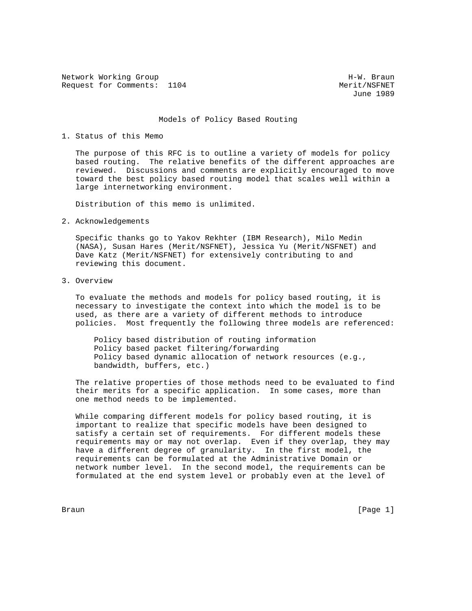Network Working Group Network More H-W. Braun Request for Comments: 1104 Merit/NSFNET

June 1989

## Models of Policy Based Routing

## 1. Status of this Memo

 The purpose of this RFC is to outline a variety of models for policy based routing. The relative benefits of the different approaches are reviewed. Discussions and comments are explicitly encouraged to move toward the best policy based routing model that scales well within a large internetworking environment.

Distribution of this memo is unlimited.

2. Acknowledgements

 Specific thanks go to Yakov Rekhter (IBM Research), Milo Medin (NASA), Susan Hares (Merit/NSFNET), Jessica Yu (Merit/NSFNET) and Dave Katz (Merit/NSFNET) for extensively contributing to and reviewing this document.

3. Overview

 To evaluate the methods and models for policy based routing, it is necessary to investigate the context into which the model is to be used, as there are a variety of different methods to introduce policies. Most frequently the following three models are referenced:

 Policy based distribution of routing information Policy based packet filtering/forwarding Policy based dynamic allocation of network resources (e.g., bandwidth, buffers, etc.)

 The relative properties of those methods need to be evaluated to find their merits for a specific application. In some cases, more than one method needs to be implemented.

 While comparing different models for policy based routing, it is important to realize that specific models have been designed to satisfy a certain set of requirements. For different models these requirements may or may not overlap. Even if they overlap, they may have a different degree of granularity. In the first model, the requirements can be formulated at the Administrative Domain or network number level. In the second model, the requirements can be formulated at the end system level or probably even at the level of

Braun [Page 1]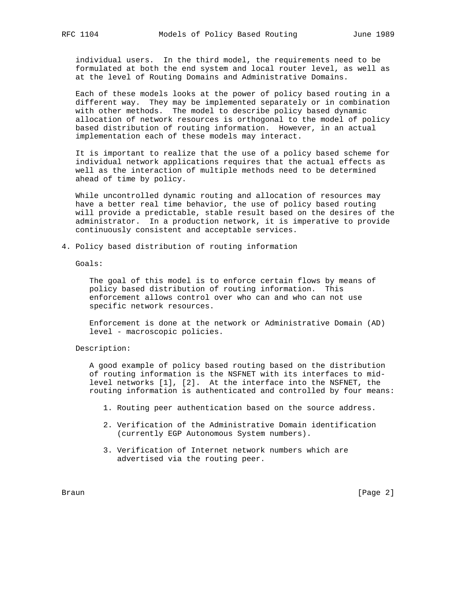individual users. In the third model, the requirements need to be formulated at both the end system and local router level, as well as at the level of Routing Domains and Administrative Domains.

 Each of these models looks at the power of policy based routing in a different way. They may be implemented separately or in combination with other methods. The model to describe policy based dynamic allocation of network resources is orthogonal to the model of policy based distribution of routing information. However, in an actual implementation each of these models may interact.

 It is important to realize that the use of a policy based scheme for individual network applications requires that the actual effects as well as the interaction of multiple methods need to be determined ahead of time by policy.

 While uncontrolled dynamic routing and allocation of resources may have a better real time behavior, the use of policy based routing will provide a predictable, stable result based on the desires of the administrator. In a production network, it is imperative to provide continuously consistent and acceptable services.

4. Policy based distribution of routing information

Goals:

 The goal of this model is to enforce certain flows by means of policy based distribution of routing information. This enforcement allows control over who can and who can not use specific network resources.

 Enforcement is done at the network or Administrative Domain (AD) level - macroscopic policies.

Description:

 A good example of policy based routing based on the distribution of routing information is the NSFNET with its interfaces to mid level networks [1], [2]. At the interface into the NSFNET, the routing information is authenticated and controlled by four means:

- 1. Routing peer authentication based on the source address.
- 2. Verification of the Administrative Domain identification (currently EGP Autonomous System numbers).
- 3. Verification of Internet network numbers which are advertised via the routing peer.

Braun **Example 19** (Page 2)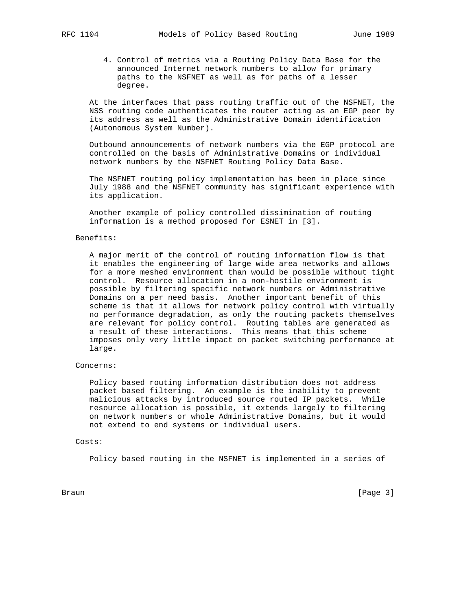- - 4. Control of metrics via a Routing Policy Data Base for the announced Internet network numbers to allow for primary paths to the NSFNET as well as for paths of a lesser degree.

 At the interfaces that pass routing traffic out of the NSFNET, the NSS routing code authenticates the router acting as an EGP peer by its address as well as the Administrative Domain identification (Autonomous System Number).

 Outbound announcements of network numbers via the EGP protocol are controlled on the basis of Administrative Domains or individual network numbers by the NSFNET Routing Policy Data Base.

 The NSFNET routing policy implementation has been in place since July 1988 and the NSFNET community has significant experience with its application.

 Another example of policy controlled dissimination of routing information is a method proposed for ESNET in [3].

## Benefits:

 A major merit of the control of routing information flow is that it enables the engineering of large wide area networks and allows for a more meshed environment than would be possible without tight control. Resource allocation in a non-hostile environment is possible by filtering specific network numbers or Administrative Domains on a per need basis. Another important benefit of this scheme is that it allows for network policy control with virtually no performance degradation, as only the routing packets themselves are relevant for policy control. Routing tables are generated as a result of these interactions. This means that this scheme imposes only very little impact on packet switching performance at large.

## Concerns:

 Policy based routing information distribution does not address packet based filtering. An example is the inability to prevent malicious attacks by introduced source routed IP packets. While resource allocation is possible, it extends largely to filtering on network numbers or whole Administrative Domains, but it would not extend to end systems or individual users.

## Costs:

Policy based routing in the NSFNET is implemented in a series of

Braun [Page 3]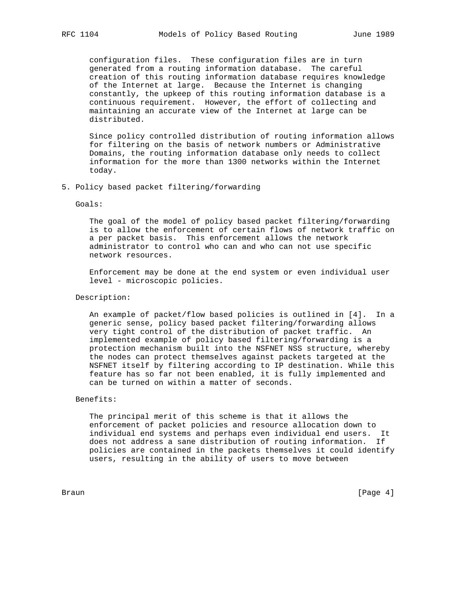configuration files. These configuration files are in turn generated from a routing information database. The careful creation of this routing information database requires knowledge of the Internet at large. Because the Internet is changing constantly, the upkeep of this routing information database is a continuous requirement. However, the effort of collecting and maintaining an accurate view of the Internet at large can be distributed.

 Since policy controlled distribution of routing information allows for filtering on the basis of network numbers or Administrative Domains, the routing information database only needs to collect information for the more than 1300 networks within the Internet today.

5. Policy based packet filtering/forwarding

#### Goals:

 The goal of the model of policy based packet filtering/forwarding is to allow the enforcement of certain flows of network traffic on a per packet basis. This enforcement allows the network administrator to control who can and who can not use specific network resources.

 Enforcement may be done at the end system or even individual user level - microscopic policies.

## Description:

 An example of packet/flow based policies is outlined in [4]. In a generic sense, policy based packet filtering/forwarding allows very tight control of the distribution of packet traffic. An implemented example of policy based filtering/forwarding is a protection mechanism built into the NSFNET NSS structure, whereby the nodes can protect themselves against packets targeted at the NSFNET itself by filtering according to IP destination. While this feature has so far not been enabled, it is fully implemented and can be turned on within a matter of seconds.

#### Benefits:

 The principal merit of this scheme is that it allows the enforcement of packet policies and resource allocation down to individual end systems and perhaps even individual end users. It does not address a sane distribution of routing information. If policies are contained in the packets themselves it could identify users, resulting in the ability of users to move between

Braun [Page 4]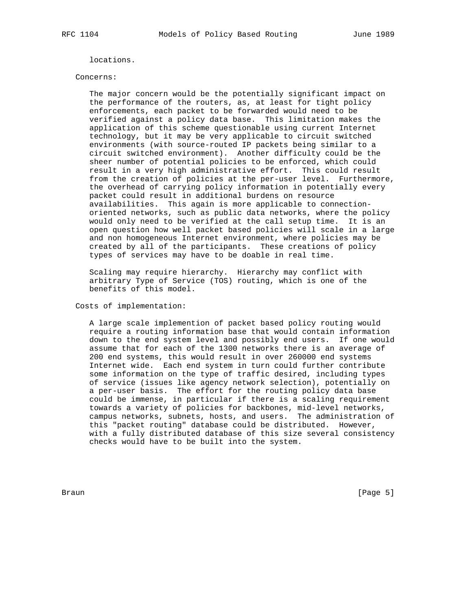locations.

#### Concerns:

 The major concern would be the potentially significant impact on the performance of the routers, as, at least for tight policy enforcements, each packet to be forwarded would need to be verified against a policy data base. This limitation makes the application of this scheme questionable using current Internet technology, but it may be very applicable to circuit switched environments (with source-routed IP packets being similar to a circuit switched environment). Another difficulty could be the sheer number of potential policies to be enforced, which could result in a very high administrative effort. This could result from the creation of policies at the per-user level. Furthermore, the overhead of carrying policy information in potentially every packet could result in additional burdens on resource availabilities. This again is more applicable to connection oriented networks, such as public data networks, where the policy would only need to be verified at the call setup time. It is an open question how well packet based policies will scale in a large and non homogeneous Internet environment, where policies may be created by all of the participants. These creations of policy types of services may have to be doable in real time.

 Scaling may require hierarchy. Hierarchy may conflict with arbitrary Type of Service (TOS) routing, which is one of the benefits of this model.

Costs of implementation:

 A large scale implemention of packet based policy routing would require a routing information base that would contain information down to the end system level and possibly end users. If one would assume that for each of the 1300 networks there is an average of 200 end systems, this would result in over 260000 end systems Internet wide. Each end system in turn could further contribute some information on the type of traffic desired, including types of service (issues like agency network selection), potentially on a per-user basis. The effort for the routing policy data base could be immense, in particular if there is a scaling requirement towards a variety of policies for backbones, mid-level networks, campus networks, subnets, hosts, and users. The administration of this "packet routing" database could be distributed. However, with a fully distributed database of this size several consistency checks would have to be built into the system.

Braun [Page 5]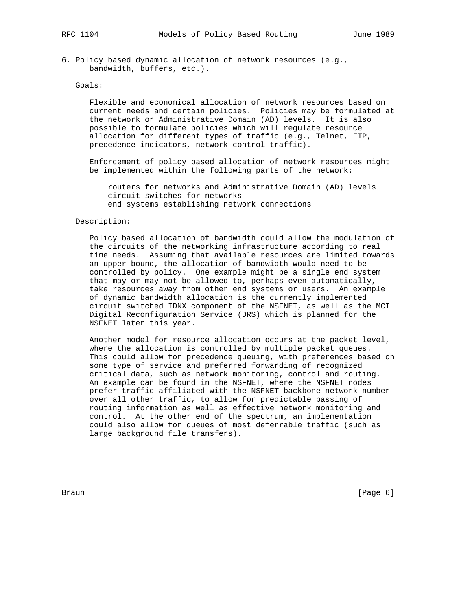6. Policy based dynamic allocation of network resources (e.g., bandwidth, buffers, etc.).

## Goals:

 Flexible and economical allocation of network resources based on current needs and certain policies. Policies may be formulated at the network or Administrative Domain (AD) levels. It is also possible to formulate policies which will regulate resource allocation for different types of traffic (e.g., Telnet, FTP, precedence indicators, network control traffic).

 Enforcement of policy based allocation of network resources might be implemented within the following parts of the network:

 routers for networks and Administrative Domain (AD) levels circuit switches for networks end systems establishing network connections

## Description:

 Policy based allocation of bandwidth could allow the modulation of the circuits of the networking infrastructure according to real time needs. Assuming that available resources are limited towards an upper bound, the allocation of bandwidth would need to be controlled by policy. One example might be a single end system that may or may not be allowed to, perhaps even automatically, take resources away from other end systems or users. An example of dynamic bandwidth allocation is the currently implemented circuit switched IDNX component of the NSFNET, as well as the MCI Digital Reconfiguration Service (DRS) which is planned for the NSFNET later this year.

 Another model for resource allocation occurs at the packet level, where the allocation is controlled by multiple packet queues. This could allow for precedence queuing, with preferences based on some type of service and preferred forwarding of recognized critical data, such as network monitoring, control and routing. An example can be found in the NSFNET, where the NSFNET nodes prefer traffic affiliated with the NSFNET backbone network number over all other traffic, to allow for predictable passing of routing information as well as effective network monitoring and control. At the other end of the spectrum, an implementation could also allow for queues of most deferrable traffic (such as large background file transfers).

Braun [Page 6]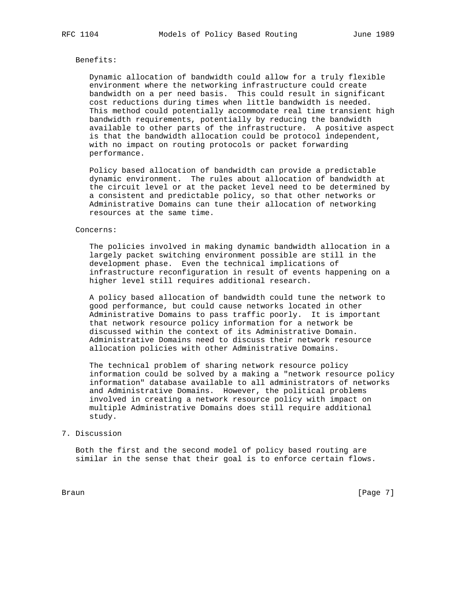### Benefits:

 Dynamic allocation of bandwidth could allow for a truly flexible environment where the networking infrastructure could create bandwidth on a per need basis. This could result in significant cost reductions during times when little bandwidth is needed. This method could potentially accommodate real time transient high bandwidth requirements, potentially by reducing the bandwidth available to other parts of the infrastructure. A positive aspect is that the bandwidth allocation could be protocol independent, with no impact on routing protocols or packet forwarding performance.

 Policy based allocation of bandwidth can provide a predictable dynamic environment. The rules about allocation of bandwidth at the circuit level or at the packet level need to be determined by a consistent and predictable policy, so that other networks or Administrative Domains can tune their allocation of networking resources at the same time.

#### Concerns:

 The policies involved in making dynamic bandwidth allocation in a largely packet switching environment possible are still in the development phase. Even the technical implications of infrastructure reconfiguration in result of events happening on a higher level still requires additional research.

 A policy based allocation of bandwidth could tune the network to good performance, but could cause networks located in other Administrative Domains to pass traffic poorly. It is important that network resource policy information for a network be discussed within the context of its Administrative Domain. Administrative Domains need to discuss their network resource allocation policies with other Administrative Domains.

 The technical problem of sharing network resource policy information could be solved by a making a "network resource policy information" database available to all administrators of networks and Administrative Domains. However, the political problems involved in creating a network resource policy with impact on multiple Administrative Domains does still require additional study.

## 7. Discussion

 Both the first and the second model of policy based routing are similar in the sense that their goal is to enforce certain flows.

Braun [Page 7]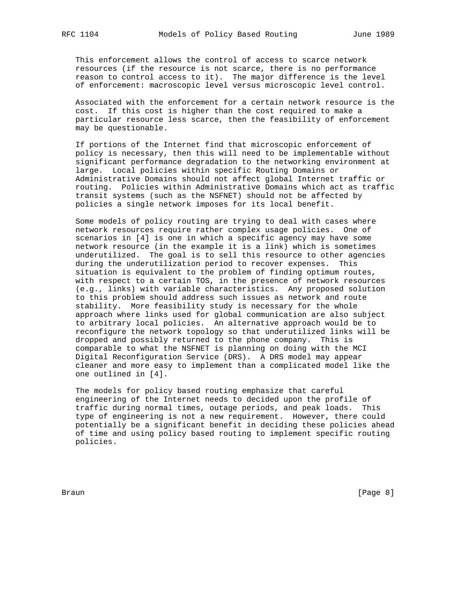This enforcement allows the control of access to scarce network resources (if the resource is not scarce, there is no performance reason to control access to it). The major difference is the level of enforcement: macroscopic level versus microscopic level control.

 Associated with the enforcement for a certain network resource is the cost. If this cost is higher than the cost required to make a particular resource less scarce, then the feasibility of enforcement may be questionable.

 If portions of the Internet find that microscopic enforcement of policy is necessary, then this will need to be implementable without significant performance degradation to the networking environment at large. Local policies within specific Routing Domains or Administrative Domains should not affect global Internet traffic or routing. Policies within Administrative Domains which act as traffic transit systems (such as the NSFNET) should not be affected by policies a single network imposes for its local benefit.

 Some models of policy routing are trying to deal with cases where network resources require rather complex usage policies. One of scenarios in [4] is one in which a specific agency may have some network resource (in the example it is a link) which is sometimes underutilized. The goal is to sell this resource to other agencies during the underutilization period to recover expenses. This situation is equivalent to the problem of finding optimum routes, with respect to a certain TOS, in the presence of network resources (e.g., links) with variable characteristics. Any proposed solution to this problem should address such issues as network and route stability. More feasibility study is necessary for the whole approach where links used for global communication are also subject to arbitrary local policies. An alternative approach would be to reconfigure the network topology so that underutilized links will be dropped and possibly returned to the phone company. This is comparable to what the NSFNET is planning on doing with the MCI Digital Reconfiguration Service (DRS). A DRS model may appear cleaner and more easy to implement than a complicated model like the one outlined in [4].

 The models for policy based routing emphasize that careful engineering of the Internet needs to decided upon the profile of traffic during normal times, outage periods, and peak loads. This type of engineering is not a new requirement. However, there could potentially be a significant benefit in deciding these policies ahead of time and using policy based routing to implement specific routing policies.

Braun [Page 8]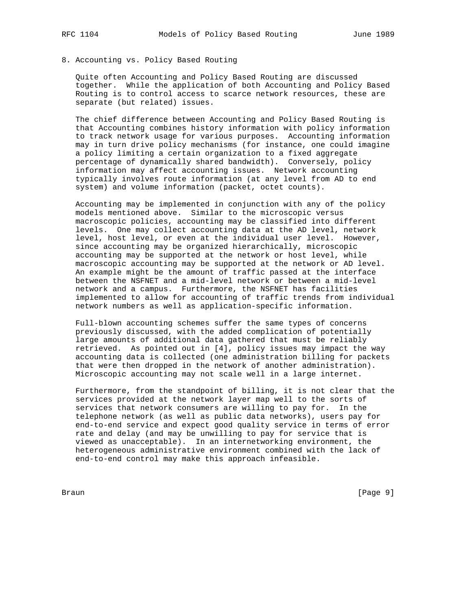# 8. Accounting vs. Policy Based Routing

 Quite often Accounting and Policy Based Routing are discussed together. While the application of both Accounting and Policy Based Routing is to control access to scarce network resources, these are separate (but related) issues.

 The chief difference between Accounting and Policy Based Routing is that Accounting combines history information with policy information to track network usage for various purposes. Accounting information may in turn drive policy mechanisms (for instance, one could imagine a policy limiting a certain organization to a fixed aggregate percentage of dynamically shared bandwidth). Conversely, policy information may affect accounting issues. Network accounting typically involves route information (at any level from AD to end system) and volume information (packet, octet counts).

 Accounting may be implemented in conjunction with any of the policy models mentioned above. Similar to the microscopic versus macroscopic policies, accounting may be classified into different levels. One may collect accounting data at the AD level, network level, host level, or even at the individual user level. However, since accounting may be organized hierarchically, microscopic accounting may be supported at the network or host level, while macroscopic accounting may be supported at the network or AD level. An example might be the amount of traffic passed at the interface between the NSFNET and a mid-level network or between a mid-level network and a campus. Furthermore, the NSFNET has facilities implemented to allow for accounting of traffic trends from individual network numbers as well as application-specific information.

 Full-blown accounting schemes suffer the same types of concerns previously discussed, with the added complication of potentially large amounts of additional data gathered that must be reliably retrieved. As pointed out in [4], policy issues may impact the way accounting data is collected (one administration billing for packets that were then dropped in the network of another administration). Microscopic accounting may not scale well in a large internet.

 Furthermore, from the standpoint of billing, it is not clear that the services provided at the network layer map well to the sorts of services that network consumers are willing to pay for. In the telephone network (as well as public data networks), users pay for end-to-end service and expect good quality service in terms of error rate and delay (and may be unwilling to pay for service that is viewed as unacceptable). In an internetworking environment, the heterogeneous administrative environment combined with the lack of end-to-end control may make this approach infeasible.

Braun [Page 9]